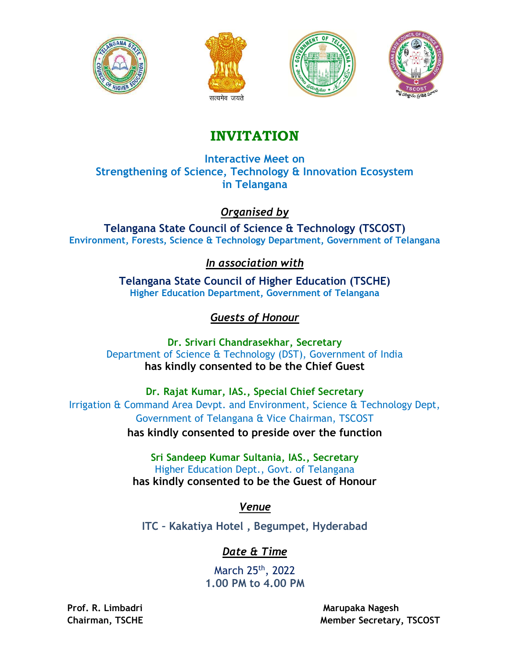







# INVITATION

Interactive Meet on Strengthening of Science, Technology & Innovation Ecosystem in Telangana

#### Organised by

Telangana State Council of Science & Technology (TSCOST) Environment, Forests, Science & Technology Department, Government of Telangana

#### In association with

Telangana State Council of Higher Education (TSCHE) Higher Education Department, Government of Telangana

### Guests of Honour

Dr. Srivari Chandrasekhar, Secretary Department of Science & Technology (DST), Government of India has kindly consented to be the Chief Guest

Dr. Rajat Kumar, IAS., Special Chief Secretary Irrigation & Command Area Devpt. and Environment, Science & Technology Dept, Government of Telangana & Vice Chairman, TSCOST has kindly consented to preside over the function

> Sri Sandeep Kumar Sultania, IAS., Secretary Higher Education Dept., Govt. of Telangana has kindly consented to be the Guest of Honour

> > Venue

ITC – Kakatiya Hotel , Begumpet, Hyderabad

### Date & Time

March 25th, 2022 1.00 PM to 4.00 PM

Prof. R. Limbadri Marupaka Nagesh Chairman, TSCHE Member Secretary, TSCOST